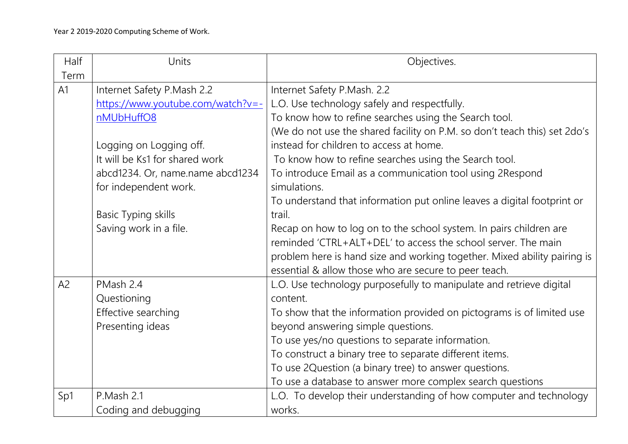| Half | Units                             | Objectives.                                                               |
|------|-----------------------------------|---------------------------------------------------------------------------|
| Term |                                   |                                                                           |
| A1   | Internet Safety P.Mash 2.2        | Internet Safety P.Mash. 2.2                                               |
|      | https://www.youtube.com/watch?v=- | L.O. Use technology safely and respectfully.                              |
|      | nMUbHuffO8                        | To know how to refine searches using the Search tool.                     |
|      |                                   | (We do not use the shared facility on P.M. so don't teach this) set 2do's |
|      | Logging on Logging off.           | instead for children to access at home.                                   |
|      | It will be Ks1 for shared work    | To know how to refine searches using the Search tool.                     |
|      | abcd1234. Or, name.name abcd1234  | To introduce Email as a communication tool using 2Respond                 |
|      | for independent work.             | simulations.                                                              |
|      |                                   | To understand that information put online leaves a digital footprint or   |
|      | <b>Basic Typing skills</b>        | trail.                                                                    |
|      | Saving work in a file.            | Recap on how to log on to the school system. In pairs children are        |
|      |                                   | reminded 'CTRL+ALT+DEL' to access the school server. The main             |
|      |                                   | problem here is hand size and working together. Mixed ability pairing is  |
|      |                                   | essential & allow those who are secure to peer teach.                     |
| A2   | PMash 2.4                         | L.O. Use technology purposefully to manipulate and retrieve digital       |
|      | Questioning                       | content.                                                                  |
|      | Effective searching               | To show that the information provided on pictograms is of limited use     |
|      | Presenting ideas                  | beyond answering simple questions.                                        |
|      |                                   | To use yes/no questions to separate information.                          |
|      |                                   | To construct a binary tree to separate different items.                   |
|      |                                   | To use 2Question (a binary tree) to answer questions.                     |
|      |                                   | To use a database to answer more complex search questions                 |
| Sp1  | P.Mash 2.1                        | L.O. To develop their understanding of how computer and technology        |
|      | Coding and debugging              | works.                                                                    |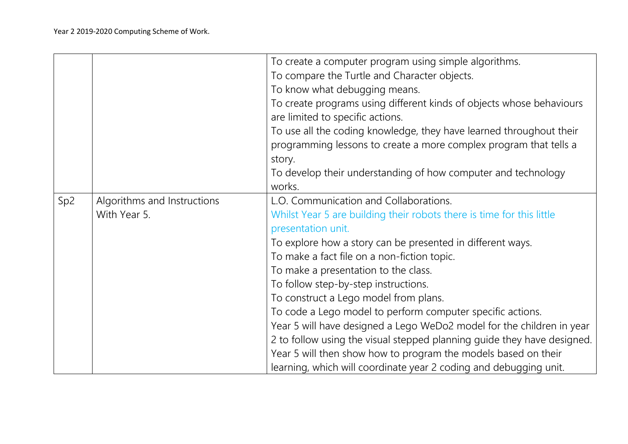|                 |                                             | To create a computer program using simple algorithms.                   |
|-----------------|---------------------------------------------|-------------------------------------------------------------------------|
|                 |                                             | To compare the Turtle and Character objects.                            |
|                 |                                             |                                                                         |
|                 |                                             | To know what debugging means.                                           |
|                 |                                             | To create programs using different kinds of objects whose behaviours    |
|                 |                                             | are limited to specific actions.                                        |
|                 |                                             | To use all the coding knowledge, they have learned throughout their     |
|                 |                                             | programming lessons to create a more complex program that tells a       |
|                 |                                             | story.                                                                  |
|                 |                                             | To develop their understanding of how computer and technology           |
|                 |                                             | works.                                                                  |
| Sp <sub>2</sub> | Algorithms and Instructions<br>With Year 5. | L.O. Communication and Collaborations.                                  |
|                 |                                             | Whilst Year 5 are building their robots there is time for this little   |
|                 |                                             | presentation unit.                                                      |
|                 |                                             | To explore how a story can be presented in different ways.              |
|                 |                                             | To make a fact file on a non-fiction topic.                             |
|                 |                                             | To make a presentation to the class.                                    |
|                 |                                             | To follow step-by-step instructions.                                    |
|                 |                                             | To construct a Lego model from plans.                                   |
|                 |                                             | To code a Lego model to perform computer specific actions.              |
|                 |                                             | Year 5 will have designed a Lego WeDo2 model for the children in year   |
|                 |                                             | 2 to follow using the visual stepped planning guide they have designed. |
|                 |                                             |                                                                         |
|                 |                                             | Year 5 will then show how to program the models based on their          |
|                 |                                             | learning, which will coordinate year 2 coding and debugging unit.       |